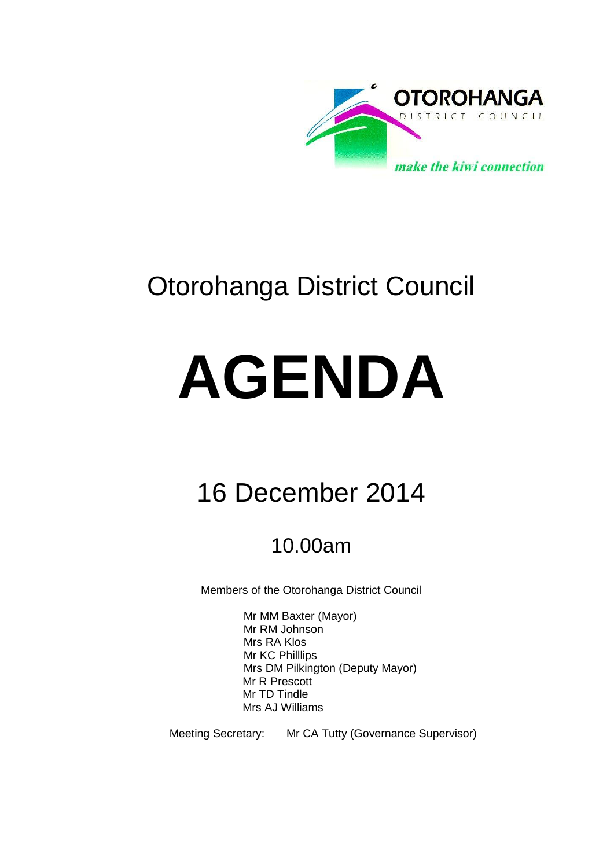

# Otorohanga District Council

# **AGENDA**

# 16 December 2014

# 10.00am

Members of the Otorohanga District Council

Mr MM Baxter (Mayor) Mr RM Johnson Mrs RA Klos Mr KC Philllips Mrs DM Pilkington (Deputy Mayor) Mr R Prescott Mr TD Tindle Mrs AJ Williams

Meeting Secretary: Mr CA Tutty (Governance Supervisor)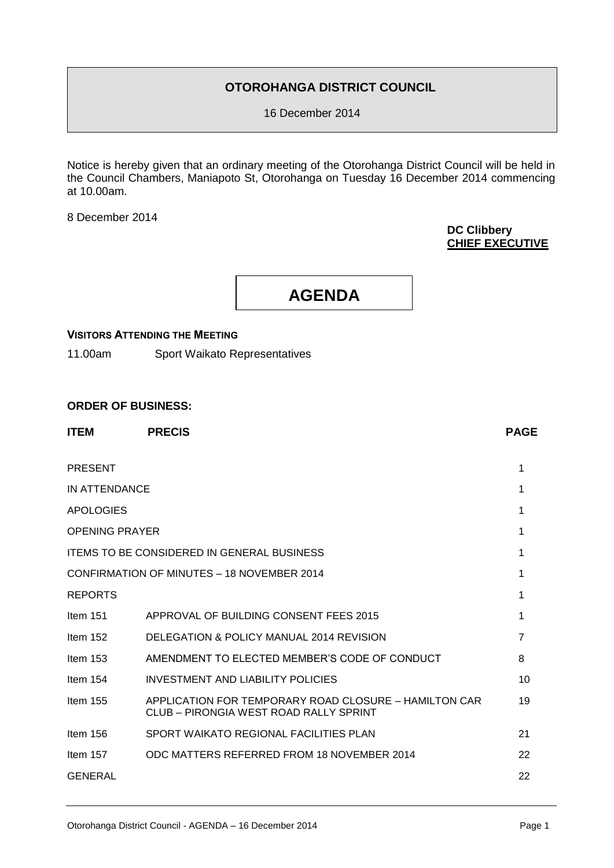# **OTOROHANGA DISTRICT COUNCIL**

16 December 2014

Notice is hereby given that an ordinary meeting of the Otorohanga District Council will be held in the Council Chambers, Maniapoto St, Otorohanga on Tuesday 16 December 2014 commencing at 10.00am.

8 December 2014

# **DC Clibbery CHIEF EXECUTIVE**

**AGENDA**

# **VISITORS ATTENDING THE MEETING**

11.00am Sport Waikato Representatives

# **ORDER OF BUSINESS:**

| <b>ITEM</b>           | <b>PRECIS</b>                                                                                   | <b>PAGE</b>    |
|-----------------------|-------------------------------------------------------------------------------------------------|----------------|
| <b>PRESENT</b>        |                                                                                                 | 1              |
| IN ATTENDANCE         |                                                                                                 | 1              |
| <b>APOLOGIES</b>      |                                                                                                 | 1              |
| <b>OPENING PRAYER</b> |                                                                                                 | 1              |
|                       | <b>ITEMS TO BE CONSIDERED IN GENERAL BUSINESS</b>                                               | 1              |
|                       | CONFIRMATION OF MINUTES - 18 NOVEMBER 2014                                                      | 1              |
| <b>REPORTS</b>        |                                                                                                 | 1              |
| Item $151$            | APPROVAL OF BUILDING CONSENT FEES 2015                                                          | 1              |
| Item $152$            | DELEGATION & POLICY MANUAL 2014 REVISION                                                        | $\overline{7}$ |
| Item $153$            | AMENDMENT TO ELECTED MEMBER'S CODE OF CONDUCT                                                   | 8              |
| Item $154$            | INVESTMENT AND LIABILITY POLICIES                                                               | 10             |
| Item $155$            | APPLICATION FOR TEMPORARY ROAD CLOSURE – HAMILTON CAR<br>CLUB - PIRONGIA WEST ROAD RALLY SPRINT | 19             |
| Item $156$            | SPORT WAIKATO REGIONAL FACILITIES PLAN                                                          | 21             |
| Item $157$            | ODC MATTERS REFERRED FROM 18 NOVEMBER 2014                                                      | 22             |
| <b>GENERAL</b>        |                                                                                                 | 22             |
|                       |                                                                                                 |                |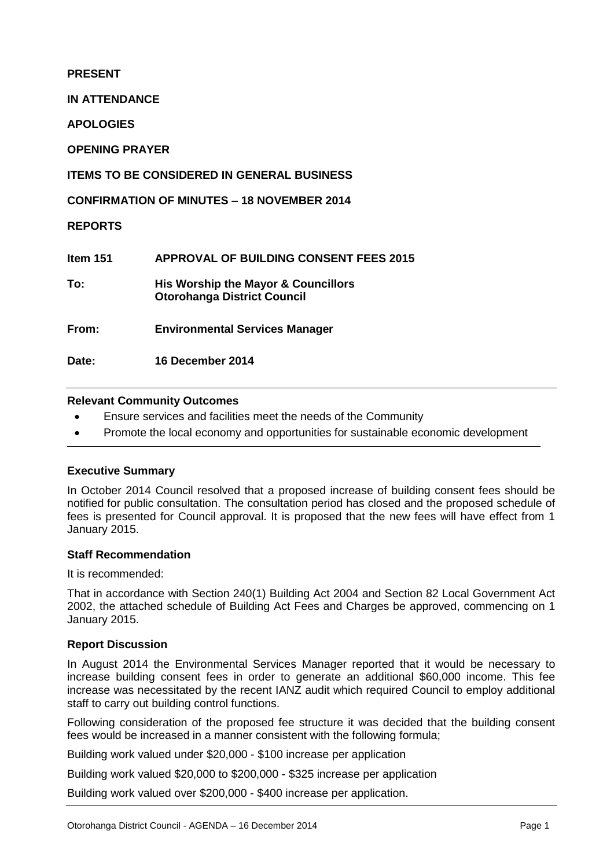# **PRESENT**

**IN ATTENDANCE**

**APOLOGIES**

**OPENING PRAYER**

# **ITEMS TO BE CONSIDERED IN GENERAL BUSINESS**

**CONFIRMATION OF MINUTES – 18 NOVEMBER 2014**

**REPORTS**

| ltem 151 | <b>APPROVAL OF BUILDING CONSENT FEES 2015</b>                             |
|----------|---------------------------------------------------------------------------|
| To:      | His Worship the Mayor & Councillors<br><b>Otorohanga District Council</b> |
| From:    | <b>Environmental Services Manager</b>                                     |
| Date:    | <b>16 December 2014</b>                                                   |

# **Relevant Community Outcomes**

- Ensure services and facilities meet the needs of the Community
- Promote the local economy and opportunities for sustainable economic development

# **Executive Summary**

In October 2014 Council resolved that a proposed increase of building consent fees should be notified for public consultation. The consultation period has closed and the proposed schedule of fees is presented for Council approval. It is proposed that the new fees will have effect from 1 January 2015.

# **Staff Recommendation**

It is recommended:

That in accordance with Section 240(1) Building Act 2004 and Section 82 Local Government Act 2002, the attached schedule of Building Act Fees and Charges be approved, commencing on 1 January 2015.

# **Report Discussion**

In August 2014 the Environmental Services Manager reported that it would be necessary to increase building consent fees in order to generate an additional \$60,000 income. This fee increase was necessitated by the recent IANZ audit which required Council to employ additional staff to carry out building control functions.

Following consideration of the proposed fee structure it was decided that the building consent fees would be increased in a manner consistent with the following formula;

Building work valued under \$20,000 - \$100 increase per application

Building work valued \$20,000 to \$200,000 - \$325 increase per application

Building work valued over \$200,000 - \$400 increase per application.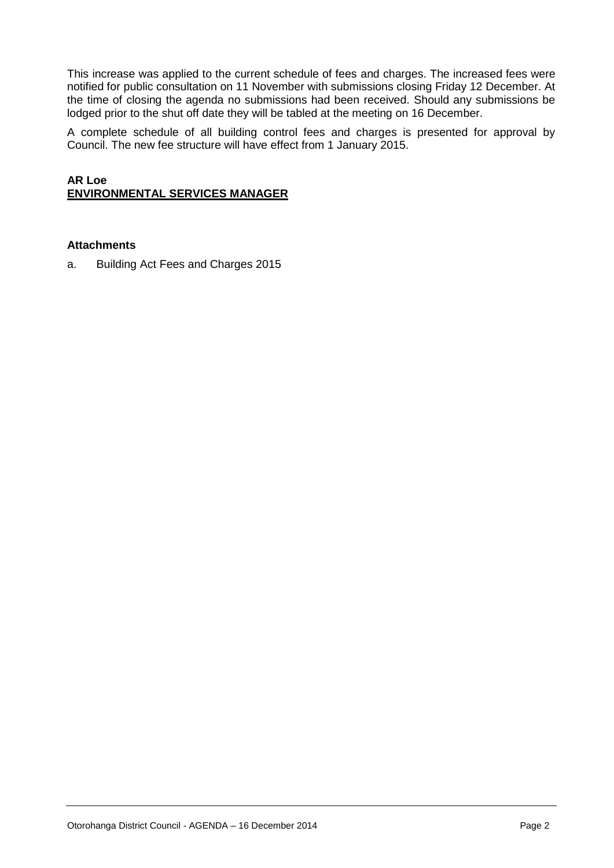This increase was applied to the current schedule of fees and charges. The increased fees were notified for public consultation on 11 November with submissions closing Friday 12 December. At the time of closing the agenda no submissions had been received. Should any submissions be lodged prior to the shut off date they will be tabled at the meeting on 16 December.

A complete schedule of all building control fees and charges is presented for approval by Council. The new fee structure will have effect from 1 January 2015.

# **AR Loe ENVIRONMENTAL SERVICES MANAGER**

# **Attachments**

a. Building Act Fees and Charges 2015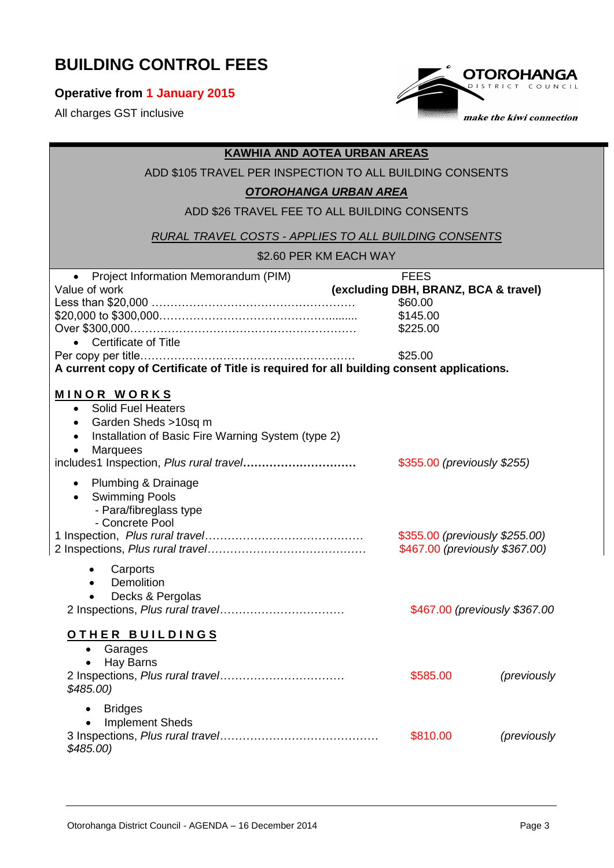# **BUILDING CONTROL FEES**

# **Operative from 1 January 2015**

All charges GST inclusive



# **Carports Demolition**  Decks & Pergolas 2 Inspections, *Plus rural travel……………………………* \$467.00 *(previously \$367.00* **O T H E R B U I L D I N G S** Garages Hay Barns 2 Inspections, *Plus rural travel……………………………* \$585.00 *(previously \$485.00)* **Bridges**  Implement Sheds 3 Inspections, *Plus rural travel……………………………………* \$810.00 *(previously*  **KAWHIA AND AOTEA URBAN AREAS** ADD \$105 TRAVEL PER INSPECTION TO ALL BUILDING CONSENTS *OTOROHANGA URBAN AREA* ADD \$26 TRAVEL FEE TO ALL BUILDING CONSENTS *RURAL TRAVEL COSTS - APPLIES TO ALL BUILDING CONSENTS* \$2.60 PER KM EACH WAY Project Information Memorandum (PIM) FEES Value of work **(excluding DBH, BRANZ, BCA & travel)** Less than \$20,000 ……………………………………………… \$60.00 \$20,000 to \$300,000………………………………………......... \$145.00 Over \$300,000…………………………………………………… \$225.00 Certificate of Title Per copy per title………………………………………………… \$25.00 **A current copy of Certificate of Title is required for all building consent applications. M I N O R W O R K S** • Solid Fuel Heaters • Garden Sheds >10sq m • Installation of Basic Fire Warning System (type 2) • Marquees includes1 Inspection, *Plus rural travel***…………………………** \$355.00 *(previously \$255)* • Plumbing & Drainage **•** Swimming Pools - Para/fibreglass type - Concrete Pool 1 Inspection, *Plus rural travel……………………………………* \$355.00 *(previously \$255.00)* 2 Inspections, *Plus rural travel……………………………………* \$467.00 *(previously \$367.00)*

*\$485.00)*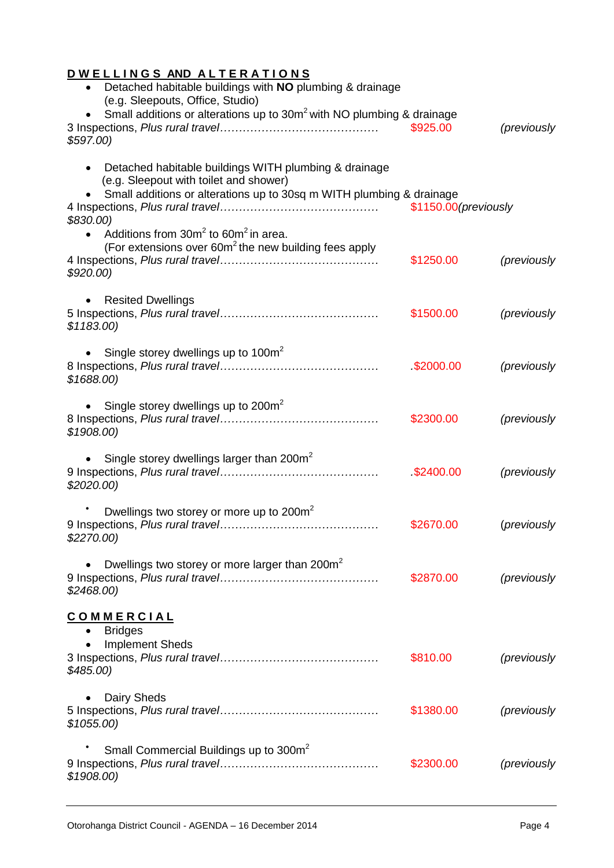# **D W E L L I N G S AND A L T E R A T I O N S**

| Detached habitable buildings with NO plumbing & drainage<br>$\bullet$<br>(e.g. Sleepouts, Office, Studio)                                                                                           |                       |             |
|-----------------------------------------------------------------------------------------------------------------------------------------------------------------------------------------------------|-----------------------|-------------|
| Small additions or alterations up to 30m <sup>2</sup> with NO plumbing & drainage<br>\$597.00                                                                                                       | \$925.00              | (previously |
| Detached habitable buildings WITH plumbing & drainage<br>$\bullet$<br>(e.g. Sleepout with toilet and shower)<br>Small additions or alterations up to 30sq m WITH plumbing & drainage<br>$$830.00$ ) | \$1150.00 (previously |             |
| Additions from $30m^2$ to $60m^2$ in area.<br>(For extensions over $60m^2$ the new building fees apply<br>\$920.00                                                                                  | \$1250.00             | (previously |
| <b>Resited Dwellings</b><br>\$1183.00                                                                                                                                                               | \$1500.00             | (previously |
| Single storey dwellings up to $100m^2$<br>$\bullet$<br>\$1688.00                                                                                                                                    | \$2000.00             | (previously |
| • Single storey dwellings up to 200 $m2$<br>\$1908.00                                                                                                                                               | \$2300.00             | (previously |
| Single storey dwellings larger than 200m <sup>2</sup><br>\$2020.00                                                                                                                                  | \$2400.00             | (previously |
| Dwellings two storey or more up to 200m <sup>2</sup><br>\$2270.00)                                                                                                                                  | \$2670.00             | (previously |
| Dwellings two storey or more larger than 200m <sup>2</sup><br>\$2468.00                                                                                                                             | \$2870.00             | (previously |
| <b>COMMERCIAL</b><br><b>Bridges</b><br>٠<br><b>Implement Sheds</b><br>$$485.00$ )                                                                                                                   | \$810.00              | (previously |
| Dairy Sheds<br>\$1055.00                                                                                                                                                                            | \$1380.00             | (previously |
| Small Commercial Buildings up to 300m <sup>2</sup><br>\$1908.00                                                                                                                                     | \$2300.00             | (previously |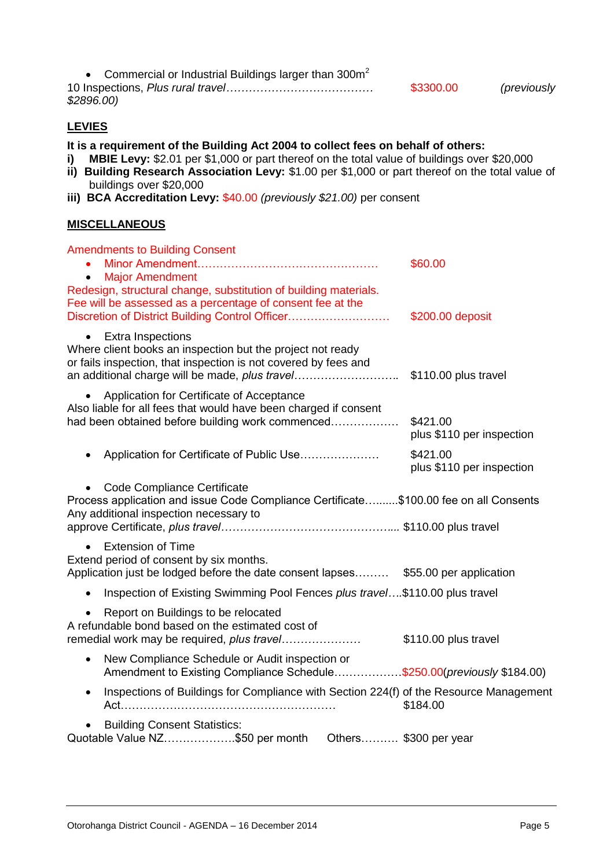| • Commercial or Industrial Buildings larger than $300m^2$ |           |             |
|-----------------------------------------------------------|-----------|-------------|
|                                                           | \$3300.00 | (previously |
| \$2896.00)                                                |           |             |

# **LEVIES**

**It is a requirement of the Building Act 2004 to collect fees on behalf of others:**

- **i)** MBIE Levy: \$2.01 per \$1,000 or part thereof on the total value of buildings over \$20,000
- **ii) Building Research Association Levy:** \$1.00 per \$1,000 or part thereof on the total value of buildings over \$20,000
- **iii) BCA Accreditation Levy:** \$40.00 *(previously \$21.00)* per consent

# **MISCELLANEOUS**

| <b>Amendments to Building Consent</b><br><b>Major Amendment</b><br>$\bullet$<br>Redesign, structural change, substitution of building materials.<br>Fee will be assessed as a percentage of consent fee at the<br>Discretion of District Building Control Officer | \$60.00<br>\$200.00 deposit           |
|-------------------------------------------------------------------------------------------------------------------------------------------------------------------------------------------------------------------------------------------------------------------|---------------------------------------|
| <b>Extra Inspections</b><br>$\bullet$<br>Where client books an inspection but the project not ready<br>or fails inspection, that inspection is not covered by fees and<br>an additional charge will be made, plus travel                                          | \$110.00 plus travel                  |
| Application for Certificate of Acceptance<br>$\bullet$<br>Also liable for all fees that would have been charged if consent<br>had been obtained before building work commenced                                                                                    | \$421.00<br>plus \$110 per inspection |
| Application for Certificate of Public Use                                                                                                                                                                                                                         | \$421.00<br>plus \$110 per inspection |
| Code Compliance Certificate<br>Process application and issue Code Compliance Certificate\$100.00 fee on all Consents<br>Any additional inspection necessary to                                                                                                    |                                       |
| <b>Extension of Time</b><br>$\bullet$<br>Extend period of consent by six months.<br>Application just be lodged before the date consent lapses \$55.00 per application                                                                                             |                                       |
| Inspection of Existing Swimming Pool Fences plus travel\$110.00 plus travel<br>$\bullet$                                                                                                                                                                          |                                       |
| Report on Buildings to be relocated<br>A refundable bond based on the estimated cost of<br>remedial work may be required, plus travel                                                                                                                             | \$110.00 plus travel                  |
| New Compliance Schedule or Audit inspection or<br>$\bullet$<br>Amendment to Existing Compliance Schedule\$250.00(previously \$184.00)                                                                                                                             |                                       |
| Inspections of Buildings for Compliance with Section 224(f) of the Resource Management<br>$\bullet$                                                                                                                                                               | \$184.00                              |
| <b>Building Consent Statistics:</b><br>Quotable Value NZ\$50 per month                               Others \$300 per year                                                                                                                                        |                                       |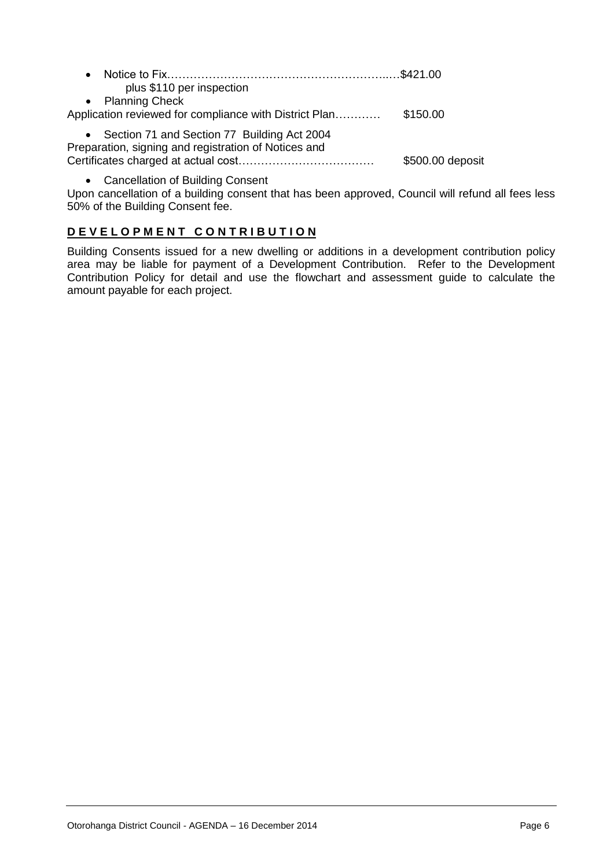| plus \$110 per inspection                                                                             |                  |
|-------------------------------------------------------------------------------------------------------|------------------|
| • Planning Check                                                                                      |                  |
| Application reviewed for compliance with District Plan                                                | \$150.00         |
| • Section 71 and Section 77 Building Act 2004<br>Preparation, signing and registration of Notices and |                  |
|                                                                                                       | \$500.00 deposit |

Cancellation of Building Consent

Upon cancellation of a building consent that has been approved, Council will refund all fees less 50% of the Building Consent fee.

# **D E V E L O P M E N T C O N T R I B U T I O N**

Building Consents issued for a new dwelling or additions in a development contribution policy area may be liable for payment of a Development Contribution. Refer to the Development Contribution Policy for detail and use the flowchart and assessment guide to calculate the amount payable for each project.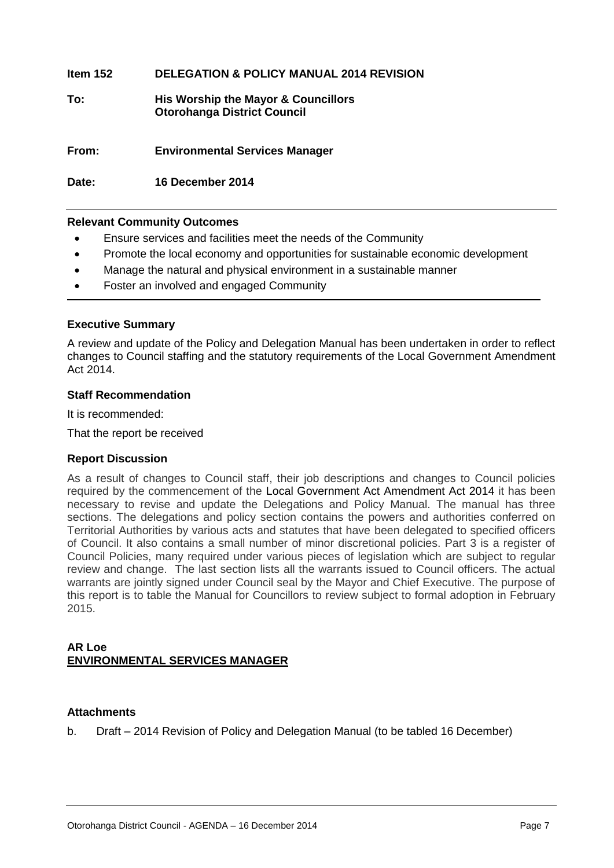# **Item 152 DELEGATION & POLICY MANUAL 2014 REVISION**

# **To: His Worship the Mayor & Councillors Otorohanga District Council**

**From: Environmental Services Manager**

**Date: 16 December 2014**

# **Relevant Community Outcomes**

- Ensure services and facilities meet the needs of the Community
- Promote the local economy and opportunities for sustainable economic development
- Manage the natural and physical environment in a sustainable manner
- Foster an involved and engaged Community

# **Executive Summary**

A review and update of the Policy and Delegation Manual has been undertaken in order to reflect changes to Council staffing and the statutory requirements of the Local Government Amendment Act 2014.

# **Staff Recommendation**

It is recommended:

That the report be received

# **Report Discussion**

As a result of changes to Council staff, their job descriptions and changes to Council policies required by the commencement of the [Local Government Act](http://www.legislation.govt.nz/act/public/2002/0084/latest/link.aspx?search=ts_act%40bill%40regulation%40deemedreg_local+governmen*_resel_25_a&p=1&id=DLM5706802) Amendment Act 2014 it has been necessary to revise and update the Delegations and Policy Manual. The manual has three sections. The delegations and policy section contains the powers and authorities conferred on Territorial Authorities by various acts and statutes that have been delegated to specified officers of Council. It also contains a small number of minor discretional policies. Part 3 is a register of Council Policies, many required under various pieces of legislation which are subject to regular review and change. The last section lists all the warrants issued to Council officers. The actual warrants are jointly signed under Council seal by the Mayor and Chief Executive. The purpose of this report is to table the Manual for Councillors to review subject to formal adoption in February 2015.

# **AR Loe ENVIRONMENTAL SERVICES MANAGER**

# **Attachments**

b. Draft – 2014 Revision of Policy and Delegation Manual (to be tabled 16 December)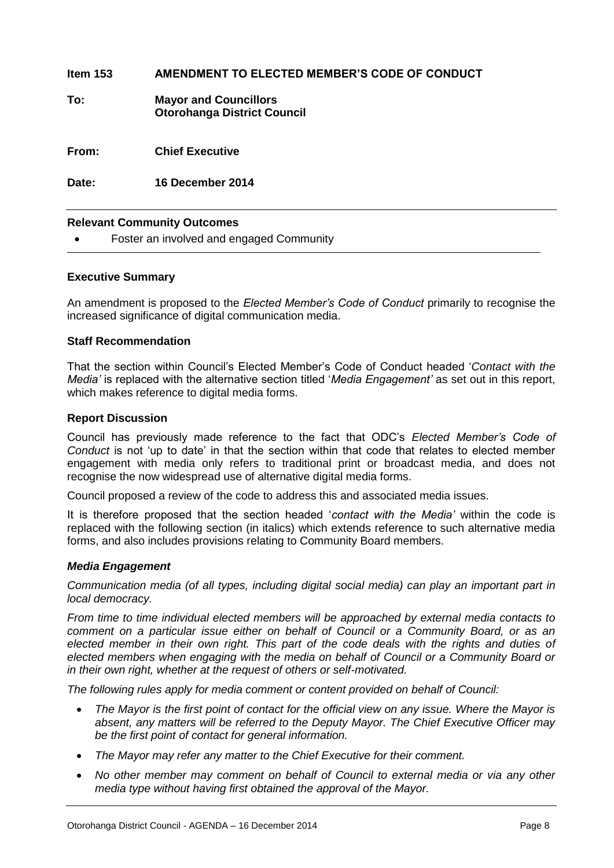| <b>Relevant Community Outcomes</b> |                                                                    |
|------------------------------------|--------------------------------------------------------------------|
| Date:                              | 16 December 2014                                                   |
| From:                              | <b>Chief Executive</b>                                             |
| To:                                | <b>Mayor and Councillors</b><br><b>Otorohanga District Council</b> |
| Item $153$                         | AMENDMENT TO ELECTED MEMBER'S CODE OF CONDUCT                      |

Foster an involved and engaged Community

# **Executive Summary**

An amendment is proposed to the *Elected Member's Code of Conduct* primarily to recognise the increased significance of digital communication media.

# **Staff Recommendation**

That the section within Council's Elected Member's Code of Conduct headed '*Contact with the Media'* is replaced with the alternative section titled '*Media Engagement'* as set out in this report, which makes reference to digital media forms.

# **Report Discussion**

Council has previously made reference to the fact that ODC's *Elected Member's Code of Conduct* is not 'up to date' in that the section within that code that relates to elected member engagement with media only refers to traditional print or broadcast media, and does not recognise the now widespread use of alternative digital media forms.

Council proposed a review of the code to address this and associated media issues.

It is therefore proposed that the section headed '*contact with the Media'* within the code is replaced with the following section (in italics) which extends reference to such alternative media forms, and also includes provisions relating to Community Board members.

# *Media Engagement*

*Communication media (of all types, including digital social media) can play an important part in local democracy.* 

*From time to time individual elected members will be approached by external media contacts to comment on a particular issue either on behalf of Council or a Community Board, or as an elected member in their own right. This part of the code deals with the rights and duties of elected members when engaging with the media on behalf of Council or a Community Board or in their own right, whether at the request of others or self-motivated.*

*The following rules apply for media comment or content provided on behalf of Council:*

- *The Mayor is the first point of contact for the official view on any issue. Where the Mayor is absent, any matters will be referred to the Deputy Mayor. The Chief Executive Officer may be the first point of contact for general information.*
- *The Mayor may refer any matter to the Chief Executive for their comment.*
- *No other member may comment on behalf of Council to external media or via any other media type without having first obtained the approval of the Mayor.*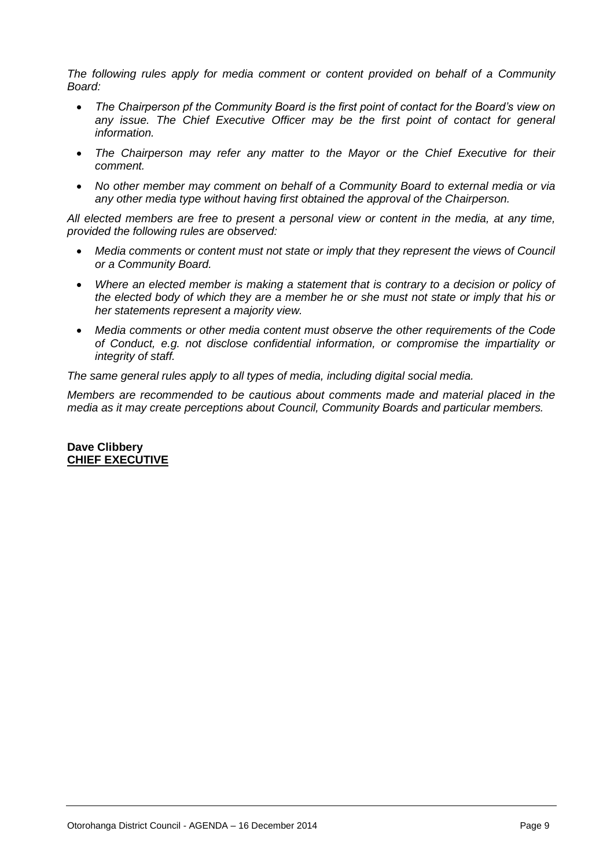*The following rules apply for media comment or content provided on behalf of a Community Board:*

- *The Chairperson pf the Community Board is the first point of contact for the Board's view on any issue. The Chief Executive Officer may be the first point of contact for general information.*
- *The Chairperson may refer any matter to the Mayor or the Chief Executive for their comment.*
- *No other member may comment on behalf of a Community Board to external media or via any other media type without having first obtained the approval of the Chairperson.*

*All elected members are free to present a personal view or content in the media, at any time, provided the following rules are observed:*

- *Media comments or content must not state or imply that they represent the views of Council or a Community Board.*
- *Where an elected member is making a statement that is contrary to a decision or policy of the elected body of which they are a member he or she must not state or imply that his or her statements represent a majority view.*
- *Media comments or other media content must observe the other requirements of the Code of Conduct, e.g. not disclose confidential information, or compromise the impartiality or integrity of staff.*

*The same general rules apply to all types of media, including digital social media.*

*Members are recommended to be cautious about comments made and material placed in the media as it may create perceptions about Council, Community Boards and particular members.* 

# **Dave Clibbery CHIEF EXECUTIVE**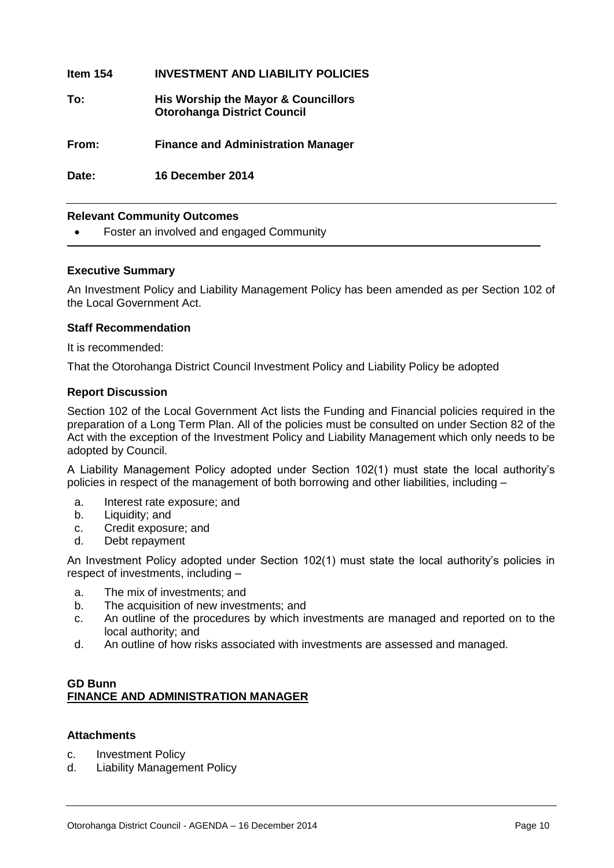| ltem 154 | <b>INVESTMENT AND LIABILITY POLICIES</b>                                  |
|----------|---------------------------------------------------------------------------|
| To:      | His Worship the Mayor & Councillors<br><b>Otorohanga District Council</b> |
| From:    | <b>Finance and Administration Manager</b>                                 |
| Date:    | 16 December 2014                                                          |

# **Relevant Community Outcomes**

Foster an involved and engaged Community

# **Executive Summary**

An Investment Policy and Liability Management Policy has been amended as per Section 102 of the Local Government Act.

# **Staff Recommendation**

It is recommended:

That the Otorohanga District Council Investment Policy and Liability Policy be adopted

# **Report Discussion**

Section 102 of the Local Government Act lists the Funding and Financial policies required in the preparation of a Long Term Plan. All of the policies must be consulted on under Section 82 of the Act with the exception of the Investment Policy and Liability Management which only needs to be adopted by Council.

A Liability Management Policy adopted under Section 102(1) must state the local authority's policies in respect of the management of both borrowing and other liabilities, including –

- a. Interest rate exposure; and
- b. Liquidity: and
- c. Credit exposure; and
- d. Debt repayment

An Investment Policy adopted under Section 102(1) must state the local authority's policies in respect of investments, including –

- a. The mix of investments; and
- b. The acquisition of new investments; and
- c. An outline of the procedures by which investments are managed and reported on to the local authority; and
- d. An outline of how risks associated with investments are assessed and managed.

# **GD Bunn FINANCE AND ADMINISTRATION MANAGER**

# **Attachments**

- c. Investment Policy
- d. Liability Management Policy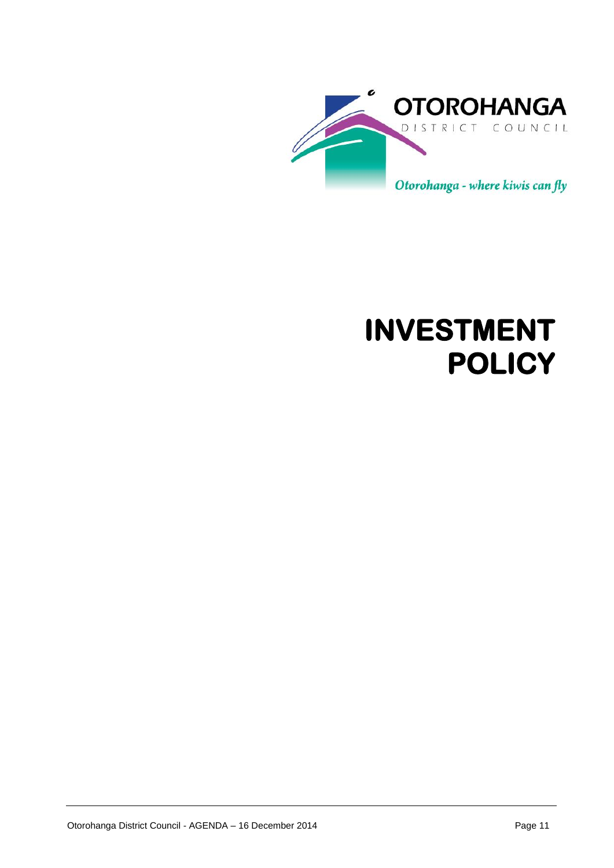

# **INVESTMENT POLICY**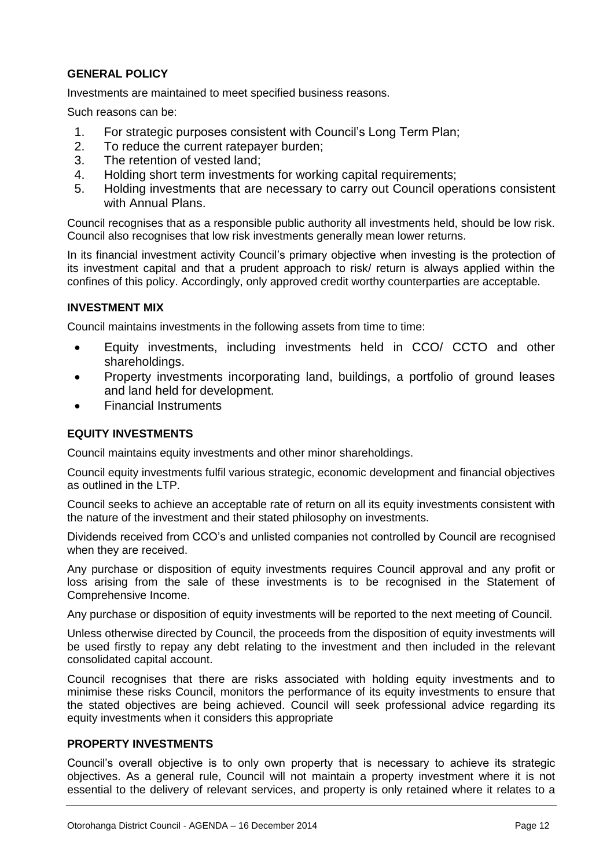# **GENERAL POLICY**

Investments are maintained to meet specified business reasons.

Such reasons can be:

- 1. For strategic purposes consistent with Council's Long Term Plan;
- 2. To reduce the current ratepayer burden;
- 3. The retention of vested land;
- 4. Holding short term investments for working capital requirements;
- 5. Holding investments that are necessary to carry out Council operations consistent with Annual Plans.

Council recognises that as a responsible public authority all investments held, should be low risk. Council also recognises that low risk investments generally mean lower returns.

In its financial investment activity Council's primary objective when investing is the protection of its investment capital and that a prudent approach to risk/ return is always applied within the confines of this policy. Accordingly, only approved credit worthy counterparties are acceptable.

# **INVESTMENT MIX**

Council maintains investments in the following assets from time to time:

- Equity investments, including investments held in CCO/ CCTO and other shareholdings.
- Property investments incorporating land, buildings, a portfolio of ground leases and land held for development.
- Financial Instruments

# **EQUITY INVESTMENTS**

Council maintains equity investments and other minor shareholdings.

Council equity investments fulfil various strategic, economic development and financial objectives as outlined in the LTP.

Council seeks to achieve an acceptable rate of return on all its equity investments consistent with the nature of the investment and their stated philosophy on investments.

Dividends received from CCO's and unlisted companies not controlled by Council are recognised when they are received.

Any purchase or disposition of equity investments requires Council approval and any profit or loss arising from the sale of these investments is to be recognised in the Statement of Comprehensive Income.

Any purchase or disposition of equity investments will be reported to the next meeting of Council.

Unless otherwise directed by Council, the proceeds from the disposition of equity investments will be used firstly to repay any debt relating to the investment and then included in the relevant consolidated capital account.

Council recognises that there are risks associated with holding equity investments and to minimise these risks Council, monitors the performance of its equity investments to ensure that the stated objectives are being achieved. Council will seek professional advice regarding its equity investments when it considers this appropriate

# **PROPERTY INVESTMENTS**

Council's overall objective is to only own property that is necessary to achieve its strategic objectives. As a general rule, Council will not maintain a property investment where it is not essential to the delivery of relevant services, and property is only retained where it relates to a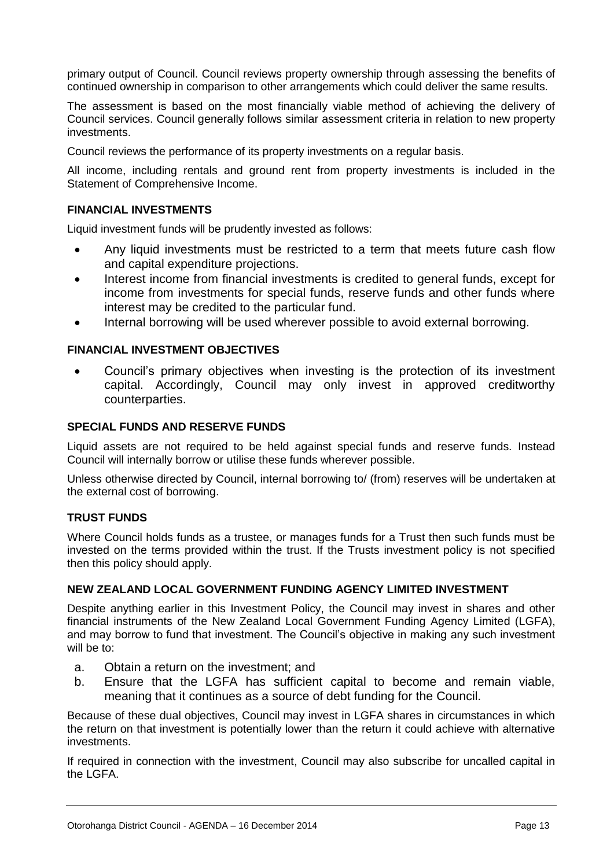primary output of Council. Council reviews property ownership through assessing the benefits of continued ownership in comparison to other arrangements which could deliver the same results.

The assessment is based on the most financially viable method of achieving the delivery of Council services. Council generally follows similar assessment criteria in relation to new property investments.

Council reviews the performance of its property investments on a regular basis.

All income, including rentals and ground rent from property investments is included in the Statement of Comprehensive Income.

# **FINANCIAL INVESTMENTS**

Liquid investment funds will be prudently invested as follows:

- Any liquid investments must be restricted to a term that meets future cash flow and capital expenditure projections.
- Interest income from financial investments is credited to general funds, except for income from investments for special funds, reserve funds and other funds where interest may be credited to the particular fund.
- Internal borrowing will be used wherever possible to avoid external borrowing.

# **FINANCIAL INVESTMENT OBJECTIVES**

 Council's primary objectives when investing is the protection of its investment capital. Accordingly, Council may only invest in approved creditworthy counterparties.

# **SPECIAL FUNDS AND RESERVE FUNDS**

Liquid assets are not required to be held against special funds and reserve funds. Instead Council will internally borrow or utilise these funds wherever possible.

Unless otherwise directed by Council, internal borrowing to/ (from) reserves will be undertaken at the external cost of borrowing.

# **TRUST FUNDS**

Where Council holds funds as a trustee, or manages funds for a Trust then such funds must be invested on the terms provided within the trust. If the Trusts investment policy is not specified then this policy should apply.

# **NEW ZEALAND LOCAL GOVERNMENT FUNDING AGENCY LIMITED INVESTMENT**

Despite anything earlier in this Investment Policy, the Council may invest in shares and other financial instruments of the New Zealand Local Government Funding Agency Limited (LGFA), and may borrow to fund that investment. The Council's objective in making any such investment will be to:

- a. Obtain a return on the investment; and
- b. Ensure that the LGFA has sufficient capital to become and remain viable, meaning that it continues as a source of debt funding for the Council.

Because of these dual objectives, Council may invest in LGFA shares in circumstances in which the return on that investment is potentially lower than the return it could achieve with alternative investments.

If required in connection with the investment, Council may also subscribe for uncalled capital in the LGFA.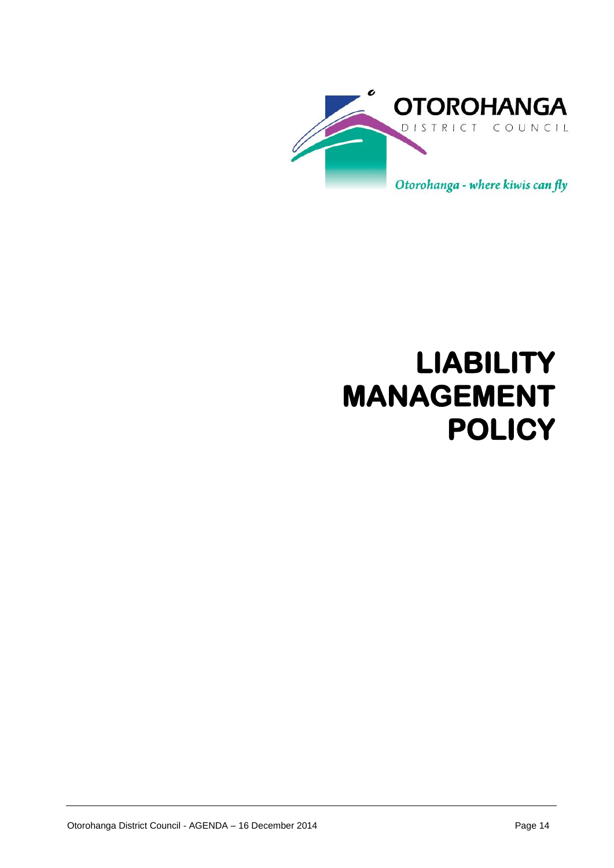

# **LIABILITY MANAGEMENT POLICY**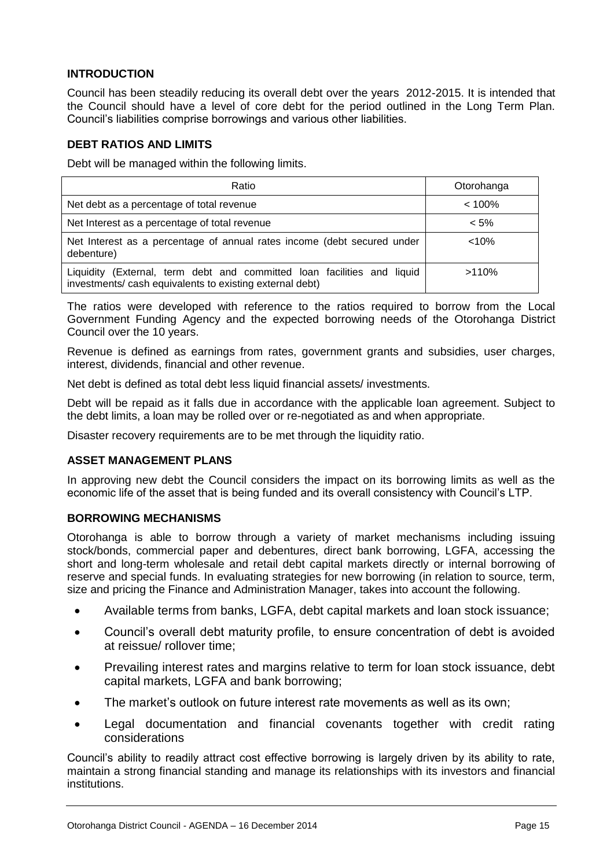# **INTRODUCTION**

Council has been steadily reducing its overall debt over the years 2012-2015. It is intended that the Council should have a level of core debt for the period outlined in the Long Term Plan. Council's liabilities comprise borrowings and various other liabilities.

# **DEBT RATIOS AND LIMITS**

Debt will be managed within the following limits.

| Ratio                                                                                                                               | Otorohanga |
|-------------------------------------------------------------------------------------------------------------------------------------|------------|
| Net debt as a percentage of total revenue                                                                                           | $< 100\%$  |
| Net Interest as a percentage of total revenue                                                                                       | $< 5\%$    |
| Net Interest as a percentage of annual rates income (debt secured under<br>debenture)                                               | < 10%      |
| Liquidity (External, term debt and committed loan facilities and liquid<br>investments/ cash equivalents to existing external debt) | >110%      |

The ratios were developed with reference to the ratios required to borrow from the Local Government Funding Agency and the expected borrowing needs of the Otorohanga District Council over the 10 years.

Revenue is defined as earnings from rates, government grants and subsidies, user charges, interest, dividends, financial and other revenue.

Net debt is defined as total debt less liquid financial assets/ investments.

Debt will be repaid as it falls due in accordance with the applicable loan agreement. Subject to the debt limits, a loan may be rolled over or re-negotiated as and when appropriate.

Disaster recovery requirements are to be met through the liquidity ratio.

# **ASSET MANAGEMENT PLANS**

In approving new debt the Council considers the impact on its borrowing limits as well as the economic life of the asset that is being funded and its overall consistency with Council's LTP.

# **BORROWING MECHANISMS**

Otorohanga is able to borrow through a variety of market mechanisms including issuing stock/bonds, commercial paper and debentures, direct bank borrowing, LGFA, accessing the short and long-term wholesale and retail debt capital markets directly or internal borrowing of reserve and special funds. In evaluating strategies for new borrowing (in relation to source, term, size and pricing the Finance and Administration Manager, takes into account the following.

- Available terms from banks, LGFA, debt capital markets and loan stock issuance;
- Council's overall debt maturity profile, to ensure concentration of debt is avoided at reissue/ rollover time;
- Prevailing interest rates and margins relative to term for loan stock issuance, debt capital markets, LGFA and bank borrowing;
- The market's outlook on future interest rate movements as well as its own;
- Legal documentation and financial covenants together with credit rating considerations

Council's ability to readily attract cost effective borrowing is largely driven by its ability to rate, maintain a strong financial standing and manage its relationships with its investors and financial institutions.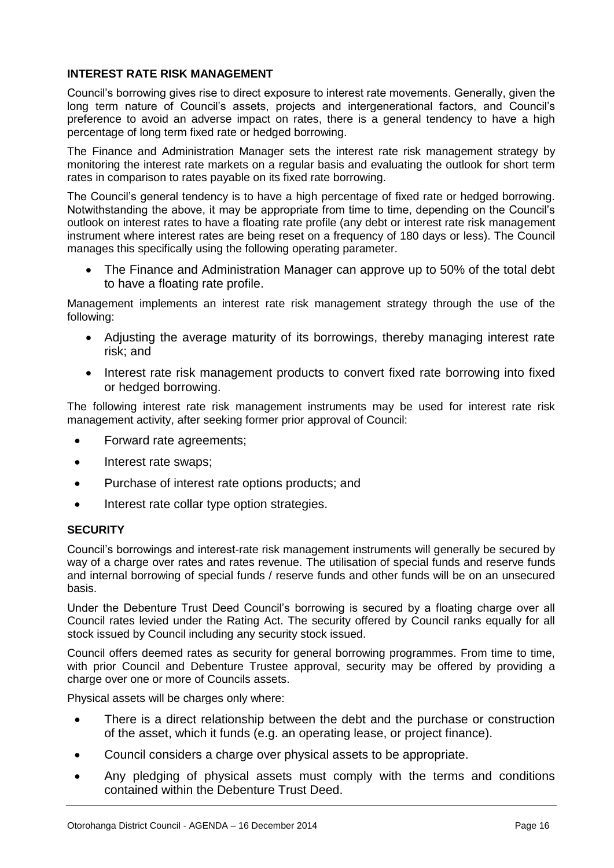# **INTEREST RATE RISK MANAGEMENT**

Council's borrowing gives rise to direct exposure to interest rate movements. Generally, given the long term nature of Council's assets, projects and intergenerational factors, and Council's preference to avoid an adverse impact on rates, there is a general tendency to have a high percentage of long term fixed rate or hedged borrowing.

The Finance and Administration Manager sets the interest rate risk management strategy by monitoring the interest rate markets on a regular basis and evaluating the outlook for short term rates in comparison to rates payable on its fixed rate borrowing.

The Council's general tendency is to have a high percentage of fixed rate or hedged borrowing. Notwithstanding the above, it may be appropriate from time to time, depending on the Council's outlook on interest rates to have a floating rate profile (any debt or interest rate risk management instrument where interest rates are being reset on a frequency of 180 days or less). The Council manages this specifically using the following operating parameter.

 The Finance and Administration Manager can approve up to 50% of the total debt to have a floating rate profile.

Management implements an interest rate risk management strategy through the use of the following:

- Adjusting the average maturity of its borrowings, thereby managing interest rate risk; and
- Interest rate risk management products to convert fixed rate borrowing into fixed or hedged borrowing.

The following interest rate risk management instruments may be used for interest rate risk management activity, after seeking former prior approval of Council:

- Forward rate agreements;
- Interest rate swaps:
- Purchase of interest rate options products; and
- Interest rate collar type option strategies.

# **SECURITY**

Council's borrowings and interest-rate risk management instruments will generally be secured by way of a charge over rates and rates revenue. The utilisation of special funds and reserve funds and internal borrowing of special funds / reserve funds and other funds will be on an unsecured basis.

Under the Debenture Trust Deed Council's borrowing is secured by a floating charge over all Council rates levied under the Rating Act. The security offered by Council ranks equally for all stock issued by Council including any security stock issued.

Council offers deemed rates as security for general borrowing programmes. From time to time, with prior Council and Debenture Trustee approval, security may be offered by providing a charge over one or more of Councils assets.

Physical assets will be charges only where:

- There is a direct relationship between the debt and the purchase or construction of the asset, which it funds (e.g. an operating lease, or project finance).
- Council considers a charge over physical assets to be appropriate.
- Any pledging of physical assets must comply with the terms and conditions contained within the Debenture Trust Deed.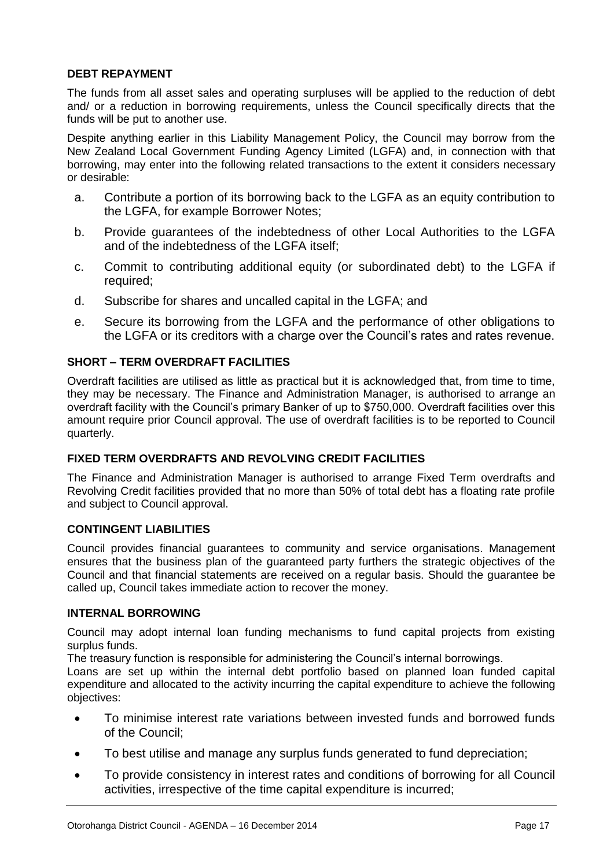# **DEBT REPAYMENT**

The funds from all asset sales and operating surpluses will be applied to the reduction of debt and/ or a reduction in borrowing requirements, unless the Council specifically directs that the funds will be put to another use.

Despite anything earlier in this Liability Management Policy, the Council may borrow from the New Zealand Local Government Funding Agency Limited (LGFA) and, in connection with that borrowing, may enter into the following related transactions to the extent it considers necessary or desirable:

- a. Contribute a portion of its borrowing back to the LGFA as an equity contribution to the LGFA, for example Borrower Notes;
- b. Provide guarantees of the indebtedness of other Local Authorities to the LGFA and of the indebtedness of the LGFA itself;
- c. Commit to contributing additional equity (or subordinated debt) to the LGFA if required;
- d. Subscribe for shares and uncalled capital in the LGFA; and
- e. Secure its borrowing from the LGFA and the performance of other obligations to the LGFA or its creditors with a charge over the Council's rates and rates revenue.

# **SHORT – TERM OVERDRAFT FACILITIES**

Overdraft facilities are utilised as little as practical but it is acknowledged that, from time to time, they may be necessary. The Finance and Administration Manager, is authorised to arrange an overdraft facility with the Council's primary Banker of up to \$750,000. Overdraft facilities over this amount require prior Council approval. The use of overdraft facilities is to be reported to Council quarterly.

# **FIXED TERM OVERDRAFTS AND REVOLVING CREDIT FACILITIES**

The Finance and Administration Manager is authorised to arrange Fixed Term overdrafts and Revolving Credit facilities provided that no more than 50% of total debt has a floating rate profile and subject to Council approval.

# **CONTINGENT LIABILITIES**

Council provides financial guarantees to community and service organisations. Management ensures that the business plan of the guaranteed party furthers the strategic objectives of the Council and that financial statements are received on a regular basis. Should the guarantee be called up, Council takes immediate action to recover the money.

# **INTERNAL BORROWING**

Council may adopt internal loan funding mechanisms to fund capital projects from existing surplus funds.

The treasury function is responsible for administering the Council's internal borrowings.

Loans are set up within the internal debt portfolio based on planned loan funded capital expenditure and allocated to the activity incurring the capital expenditure to achieve the following objectives:

- To minimise interest rate variations between invested funds and borrowed funds of the Council;
- To best utilise and manage any surplus funds generated to fund depreciation;
- To provide consistency in interest rates and conditions of borrowing for all Council activities, irrespective of the time capital expenditure is incurred;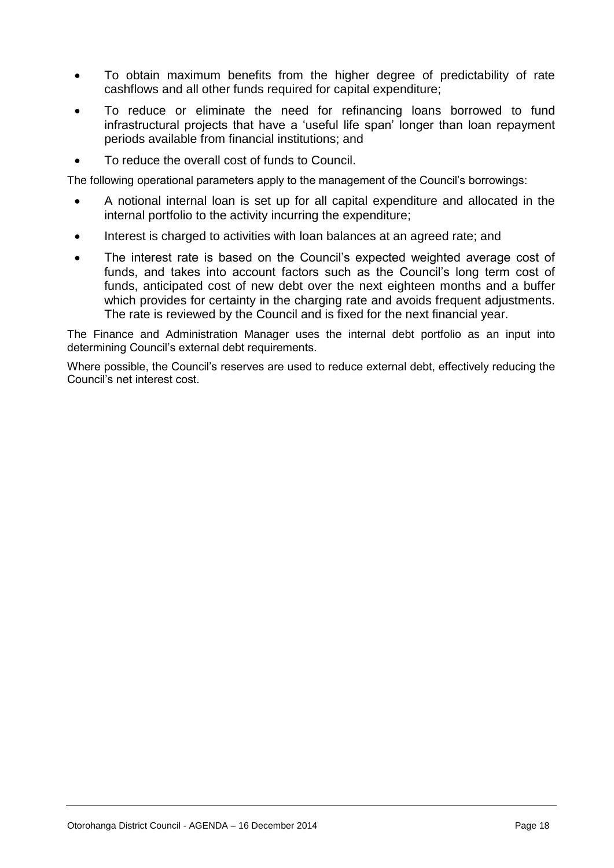- To obtain maximum benefits from the higher degree of predictability of rate cashflows and all other funds required for capital expenditure;
- To reduce or eliminate the need for refinancing loans borrowed to fund infrastructural projects that have a 'useful life span' longer than loan repayment periods available from financial institutions; and
- To reduce the overall cost of funds to Council.

The following operational parameters apply to the management of the Council's borrowings:

- A notional internal loan is set up for all capital expenditure and allocated in the internal portfolio to the activity incurring the expenditure;
- Interest is charged to activities with loan balances at an agreed rate; and
- The interest rate is based on the Council's expected weighted average cost of funds, and takes into account factors such as the Council's long term cost of funds, anticipated cost of new debt over the next eighteen months and a buffer which provides for certainty in the charging rate and avoids frequent adjustments. The rate is reviewed by the Council and is fixed for the next financial year.

The Finance and Administration Manager uses the internal debt portfolio as an input into determining Council's external debt requirements.

Where possible, the Council's reserves are used to reduce external debt, effectively reducing the Council's net interest cost.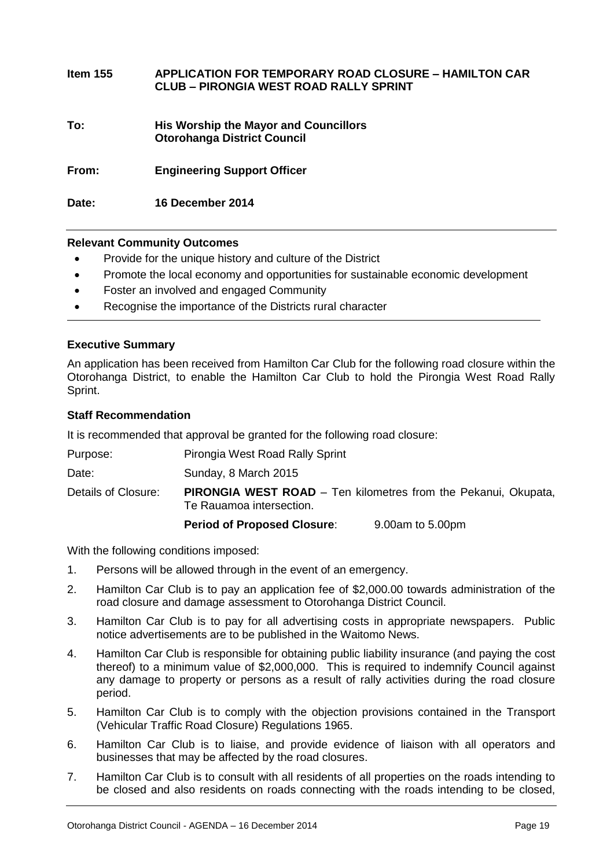| Item 155 | <b>APPLICATION FOR TEMPORARY ROAD CLOSURE – HAMILTON CAR</b><br><b>CLUB – PIRONGIA WEST ROAD RALLY SPRINT</b> |
|----------|---------------------------------------------------------------------------------------------------------------|
| To:      | His Worship the Mayor and Councillors<br><b>Otorohanga District Council</b>                                   |
| From:    | <b>Engineering Support Officer</b>                                                                            |
| Date:    | 16 December 2014                                                                                              |

# **Relevant Community Outcomes**

- Provide for the unique history and culture of the District
- Promote the local economy and opportunities for sustainable economic development
- Foster an involved and engaged Community
- Recognise the importance of the Districts rural character

# **Executive Summary**

An application has been received from Hamilton Car Club for the following road closure within the Otorohanga District, to enable the Hamilton Car Club to hold the Pirongia West Road Rally Sprint.

#### **Staff Recommendation**

It is recommended that approval be granted for the following road closure:

| Purpose:            | Pirongia West Road Rally Sprint                                       |
|---------------------|-----------------------------------------------------------------------|
| Date:               | Sunday, 8 March 2015                                                  |
| Details of Closure: | <b>PIRONGIA WEST ROAD</b> – Ten kilometres from the Pekanui, Okupata, |

Te Rauamoa intersection.

**Period of Proposed Closure**: 9.00am to 5.00pm

With the following conditions imposed:

- 1. Persons will be allowed through in the event of an emergency.
- 2. Hamilton Car Club is to pay an application fee of \$2,000.00 towards administration of the road closure and damage assessment to Otorohanga District Council.
- 3. Hamilton Car Club is to pay for all advertising costs in appropriate newspapers. Public notice advertisements are to be published in the Waitomo News.
- 4. Hamilton Car Club is responsible for obtaining public liability insurance (and paying the cost thereof) to a minimum value of \$2,000,000. This is required to indemnify Council against any damage to property or persons as a result of rally activities during the road closure period.
- 5. Hamilton Car Club is to comply with the objection provisions contained in the Transport (Vehicular Traffic Road Closure) Regulations 1965.
- 6. Hamilton Car Club is to liaise, and provide evidence of liaison with all operators and businesses that may be affected by the road closures.
- 7. Hamilton Car Club is to consult with all residents of all properties on the roads intending to be closed and also residents on roads connecting with the roads intending to be closed,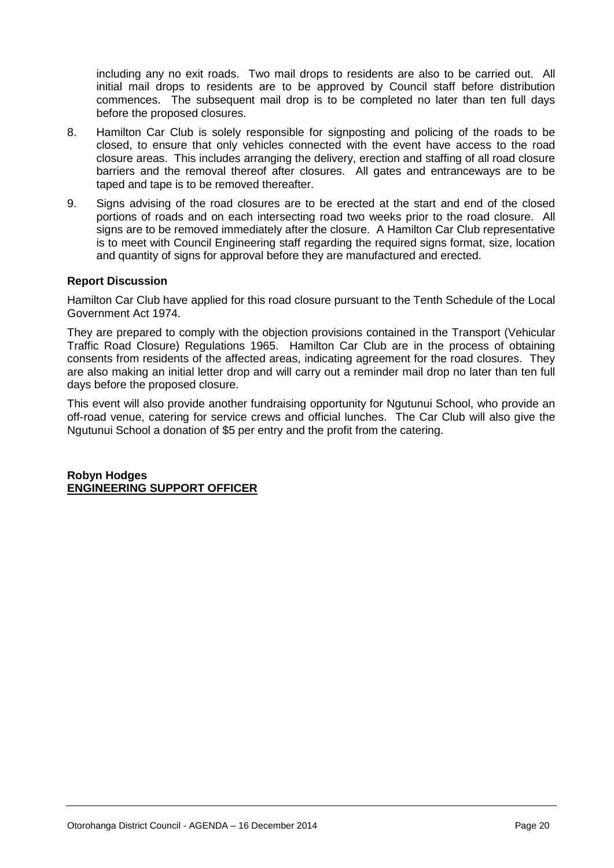including any no exit roads. Two mail drops to residents are also to be carried out. All initial mail drops to residents are to be approved by Council staff before distribution commences. The subsequent mail drop is to be completed no later than ten full days before the proposed closures.

- 8. Hamilton Car Club is solely responsible for signposting and policing of the roads to be closed, to ensure that only vehicles connected with the event have access to the road closure areas. This includes arranging the delivery, erection and staffing of all road closure barriers and the removal thereof after closures. All gates and entranceways are to be taped and tape is to be removed thereafter.
- 9. Signs advising of the road closures are to be erected at the start and end of the closed portions of roads and on each intersecting road two weeks prior to the road closure. All signs are to be removed immediately after the closure. A Hamilton Car Club representative is to meet with Council Engineering staff regarding the required signs format, size, location and quantity of signs for approval before they are manufactured and erected.

# **Report Discussion**

Hamilton Car Club have applied for this road closure pursuant to the Tenth Schedule of the Local Government Act 1974.

They are prepared to comply with the objection provisions contained in the Transport (Vehicular Traffic Road Closure) Regulations 1965. Hamilton Car Club are in the process of obtaining consents from residents of the affected areas, indicating agreement for the road closures. They are also making an initial letter drop and will carry out a reminder mail drop no later than ten full days before the proposed closure.

This event will also provide another fundraising opportunity for Ngutunui School, who provide an off-road venue, catering for service crews and official lunches. The Car Club will also give the Ngutunui School a donation of \$5 per entry and the profit from the catering.

**Robyn Hodges ENGINEERING SUPPORT OFFICER**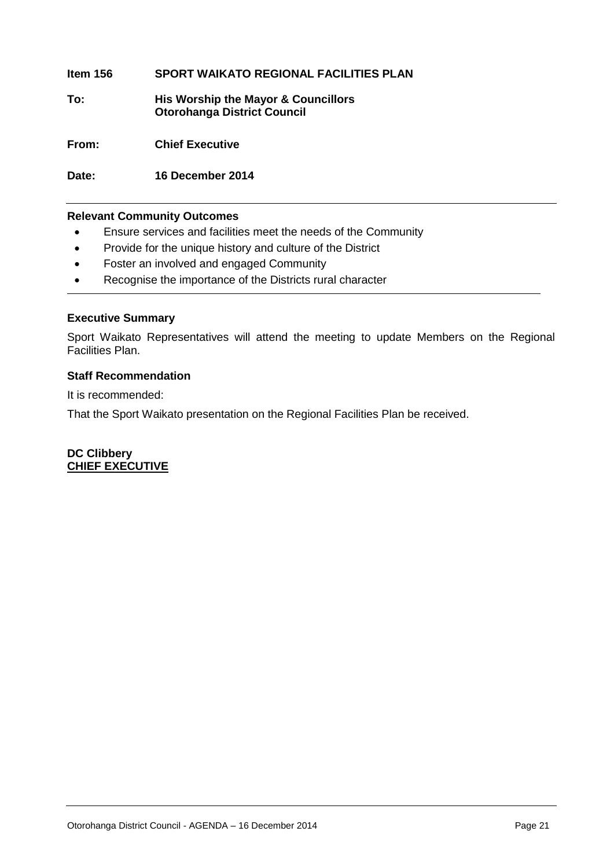# **Item 156 SPORT WAIKATO REGIONAL FACILITIES PLAN**

**To: His Worship the Mayor & Councillors Otorohanga District Council**

**From: Chief Executive**

**Date: 16 December 2014**

# **Relevant Community Outcomes**

- Ensure services and facilities meet the needs of the Community
- Provide for the unique history and culture of the District
- Foster an involved and engaged Community
- Recognise the importance of the Districts rural character

# **Executive Summary**

Sport Waikato Representatives will attend the meeting to update Members on the Regional Facilities Plan.

# **Staff Recommendation**

It is recommended:

That the Sport Waikato presentation on the Regional Facilities Plan be received.

**DC Clibbery CHIEF EXECUTIVE**